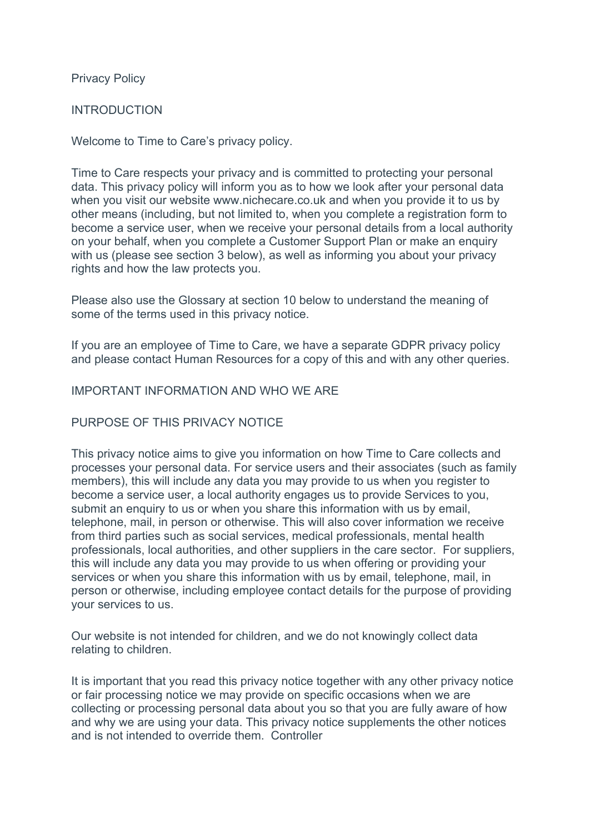# Privacy Policy

#### INTRODUCTION

Welcome to Time to Care's privacy policy.

Time to Care respects your privacy and is committed to protecting your personal data. This privacy policy will inform you as to how we look after your personal data when you visit our website www.nichecare.co.uk and when you provide it to us by other means (including, but not limited to, when you complete a registration form to become a service user, when we receive your personal details from a local authority on your behalf, when you complete a Customer Support Plan or make an enquiry with us (please see section 3 below), as well as informing you about your privacy rights and how the law protects you.

Please also use the Glossary at section 10 below to understand the meaning of some of the terms used in this privacy notice.

If you are an employee of Time to Care, we have a separate GDPR privacy policy and please contact Human Resources for a copy of this and with any other queries.

#### IMPORTANT INFORMATION AND WHO WE ARE

# PURPOSE OF THIS PRIVACY NOTICE

This privacy notice aims to give you information on how Time to Care collects and processes your personal data. For service users and their associates (such as family members), this will include any data you may provide to us when you register to become a service user, a local authority engages us to provide Services to you, submit an enquiry to us or when you share this information with us by email. telephone, mail, in person or otherwise. This will also cover information we receive from third parties such as social services, medical professionals, mental health professionals, local authorities, and other suppliers in the care sector. For suppliers, this will include any data you may provide to us when offering or providing your services or when you share this information with us by email, telephone, mail, in person or otherwise, including employee contact details for the purpose of providing your services to us.

Our website is not intended for children, and we do not knowingly collect data relating to children.

It is important that you read this privacy notice together with any other privacy notice or fair processing notice we may provide on specific occasions when we are collecting or processing personal data about you so that you are fully aware of how and why we are using your data. This privacy notice supplements the other notices and is not intended to override them. Controller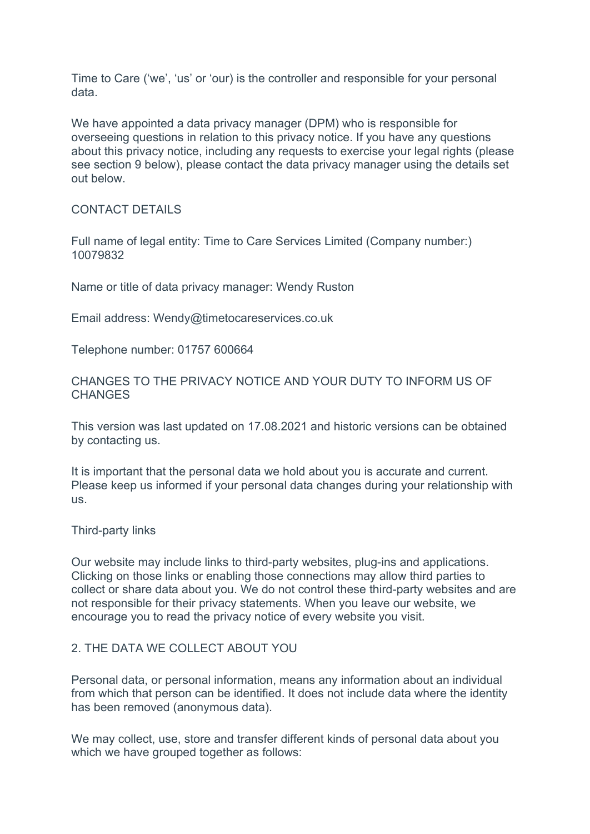Time to Care ('we', 'us' or 'our) is the controller and responsible for your personal data.

We have appointed a data privacy manager (DPM) who is responsible for overseeing questions in relation to this privacy notice. If you have any questions about this privacy notice, including any requests to exercise your legal rights (please see section 9 below), please contact the data privacy manager using the details set out below.

# CONTACT DETAILS

Full name of legal entity: Time to Care Services Limited (Company number:) 10079832

Name or title of data privacy manager: Wendy Ruston

Email address: Wendy@timetocareservices.co.uk

Telephone number: 01757 600664

CHANGES TO THE PRIVACY NOTICE AND YOUR DUTY TO INFORM US OF **CHANGES** 

This version was last updated on 17.08.2021 and historic versions can be obtained by contacting us.

It is important that the personal data we hold about you is accurate and current. Please keep us informed if your personal data changes during your relationship with us.

Third-party links

Our website may include links to third-party websites, plug-ins and applications. Clicking on those links or enabling those connections may allow third parties to collect or share data about you. We do not control these third-party websites and are not responsible for their privacy statements. When you leave our website, we encourage you to read the privacy notice of every website you visit.

# 2. THE DATA WE COLLECT ABOUT YOU

Personal data, or personal information, means any information about an individual from which that person can be identified. It does not include data where the identity has been removed (anonymous data).

We may collect, use, store and transfer different kinds of personal data about you which we have grouped together as follows: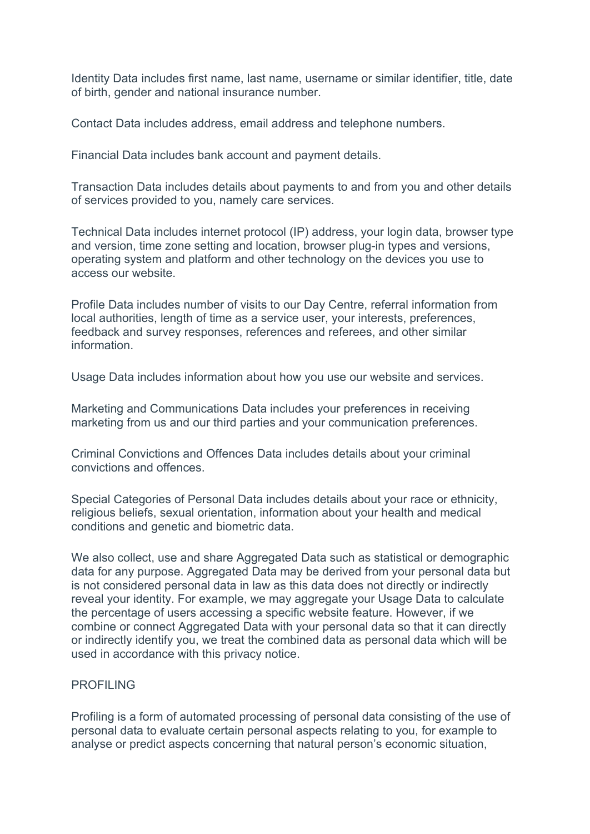Identity Data includes first name, last name, username or similar identifier, title, date of birth, gender and national insurance number.

Contact Data includes address, email address and telephone numbers.

Financial Data includes bank account and payment details.

Transaction Data includes details about payments to and from you and other details of services provided to you, namely care services.

Technical Data includes internet protocol (IP) address, your login data, browser type and version, time zone setting and location, browser plug-in types and versions, operating system and platform and other technology on the devices you use to access our website.

Profile Data includes number of visits to our Day Centre, referral information from local authorities, length of time as a service user, your interests, preferences, feedback and survey responses, references and referees, and other similar information.

Usage Data includes information about how you use our website and services.

Marketing and Communications Data includes your preferences in receiving marketing from us and our third parties and your communication preferences.

Criminal Convictions and Offences Data includes details about your criminal convictions and offences.

Special Categories of Personal Data includes details about your race or ethnicity, religious beliefs, sexual orientation, information about your health and medical conditions and genetic and biometric data.

We also collect, use and share Aggregated Data such as statistical or demographic data for any purpose. Aggregated Data may be derived from your personal data but is not considered personal data in law as this data does not directly or indirectly reveal your identity. For example, we may aggregate your Usage Data to calculate the percentage of users accessing a specific website feature. However, if we combine or connect Aggregated Data with your personal data so that it can directly or indirectly identify you, we treat the combined data as personal data which will be used in accordance with this privacy notice.

# PROFILING

Profiling is a form of automated processing of personal data consisting of the use of personal data to evaluate certain personal aspects relating to you, for example to analyse or predict aspects concerning that natural person's economic situation,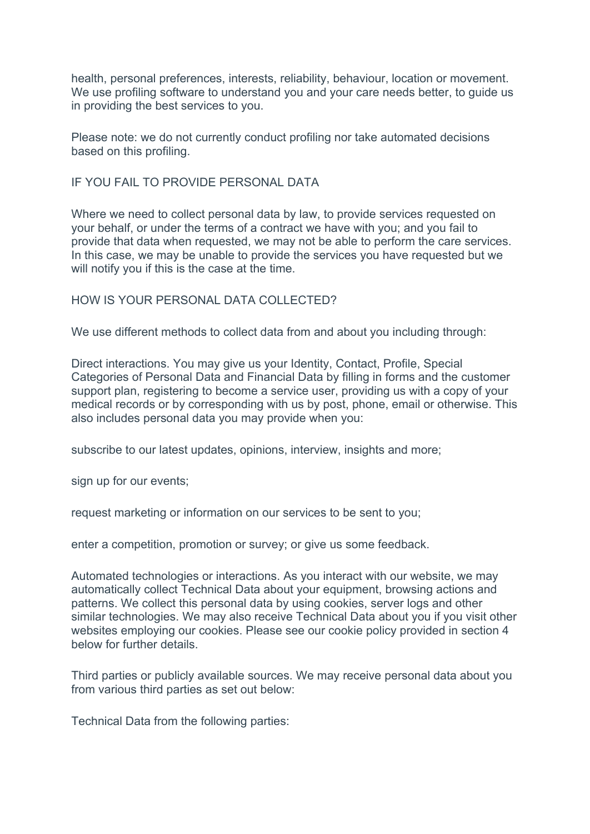health, personal preferences, interests, reliability, behaviour, location or movement. We use profiling software to understand you and your care needs better, to quide us in providing the best services to you.

Please note: we do not currently conduct profiling nor take automated decisions based on this profiling.

#### IF YOU FAIL TO PROVIDE PERSONAL DATA

Where we need to collect personal data by law, to provide services requested on your behalf, or under the terms of a contract we have with you; and you fail to provide that data when requested, we may not be able to perform the care services. In this case, we may be unable to provide the services you have requested but we will notify you if this is the case at the time.

# HOW IS YOUR PERSONAL DATA COLLECTED?

We use different methods to collect data from and about you including through:

Direct interactions. You may give us your Identity, Contact, Profile, Special Categories of Personal Data and Financial Data by filling in forms and the customer support plan, registering to become a service user, providing us with a copy of your medical records or by corresponding with us by post, phone, email or otherwise. This also includes personal data you may provide when you:

subscribe to our latest updates, opinions, interview, insights and more;

sign up for our events;

request marketing or information on our services to be sent to you;

enter a competition, promotion or survey; or give us some feedback.

Automated technologies or interactions. As you interact with our website, we may automatically collect Technical Data about your equipment, browsing actions and patterns. We collect this personal data by using cookies, server logs and other similar technologies. We may also receive Technical Data about you if you visit other websites employing our cookies. Please see our cookie policy provided in section 4 below for further details.

Third parties or publicly available sources. We may receive personal data about you from various third parties as set out below:

Technical Data from the following parties: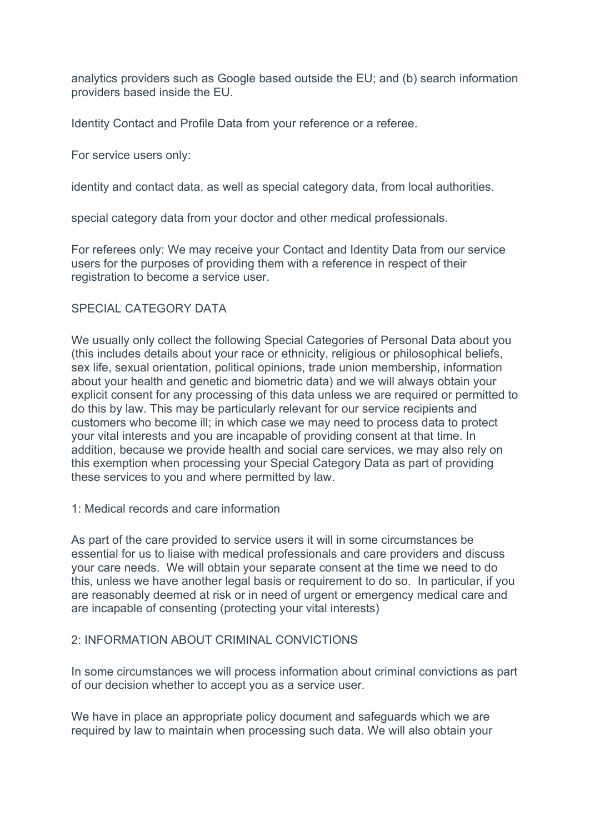analytics providers such as Google based outside the EU; and (b) search information providers based inside the EU.

Identity Contact and Profile Data from your reference or a referee.

For service users only:

identity and contact data, as well as special category data, from local authorities.

special category data from your doctor and other medical professionals.

For referees only: We may receive your Contact and Identity Data from our service users for the purposes of providing them with a reference in respect of their registration to become a service user.

#### SPECIAL CATEGORY DATA

We usually only collect the following Special Categories of Personal Data about you (this includes details about your race or ethnicity, religious or philosophical beliefs, sex life, sexual orientation, political opinions, trade union membership, information about your health and genetic and biometric data) and we will always obtain your explicit consent for any processing of this data unless we are required or permitted to do this by law. This may be particularly relevant for our service recipients and customers who become ill; in which case we may need to process data to protect your vital interests and you are incapable of providing consent at that time. In addition, because we provide health and social care services, we may also rely on this exemption when processing your Special Category Data as part of providing these services to you and where permitted by law.

1: Medical records and care information

As part of the care provided to service users it will in some circumstances be essential for us to liaise with medical professionals and care providers and discuss your care needs. We will obtain your separate consent at the time we need to do this, unless we have another legal basis or requirement to do so. In particular, if you are reasonably deemed at risk or in need of urgent or emergency medical care and are incapable of consenting (protecting your vital interests)

# 2: INFORMATION ABOUT CRIMINAL CONVICTIONS

In some circumstances we will process information about criminal convictions as part of our decision whether to accept you as a service user.

We have in place an appropriate policy document and safeguards which we are required by law to maintain when processing such data. We will also obtain your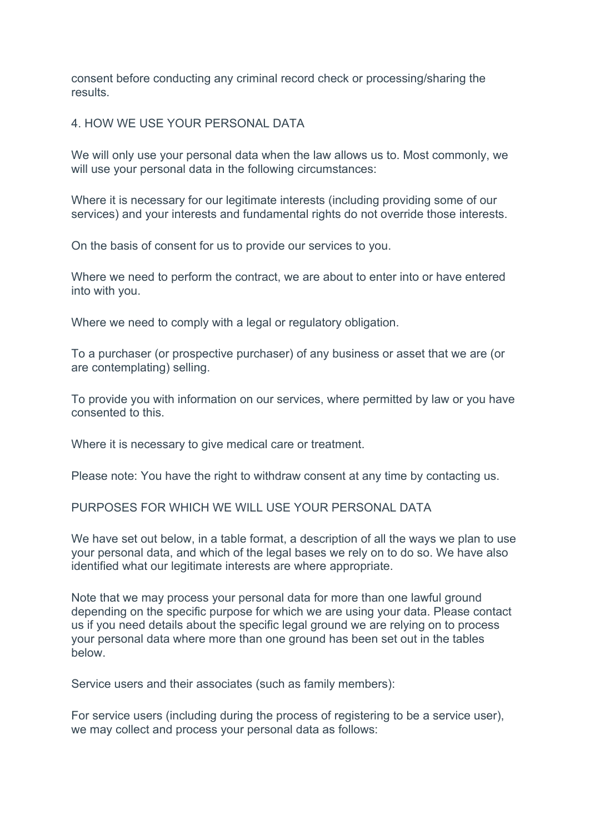consent before conducting any criminal record check or processing/sharing the results.

# 4. HOW WE USE YOUR PERSONAL DATA

We will only use your personal data when the law allows us to. Most commonly, we will use your personal data in the following circumstances:

Where it is necessary for our legitimate interests (including providing some of our services) and your interests and fundamental rights do not override those interests.

On the basis of consent for us to provide our services to you.

Where we need to perform the contract, we are about to enter into or have entered into with you.

Where we need to comply with a legal or regulatory obligation.

To a purchaser (or prospective purchaser) of any business or asset that we are (or are contemplating) selling.

To provide you with information on our services, where permitted by law or you have consented to this.

Where it is necessary to give medical care or treatment.

Please note: You have the right to withdraw consent at any time by contacting us.

PURPOSES FOR WHICH WE WILL USE YOUR PERSONAL DATA

We have set out below, in a table format, a description of all the ways we plan to use your personal data, and which of the legal bases we rely on to do so. We have also identified what our legitimate interests are where appropriate.

Note that we may process your personal data for more than one lawful ground depending on the specific purpose for which we are using your data. Please contact us if you need details about the specific legal ground we are relying on to process your personal data where more than one ground has been set out in the tables below.

Service users and their associates (such as family members):

For service users (including during the process of registering to be a service user), we may collect and process your personal data as follows: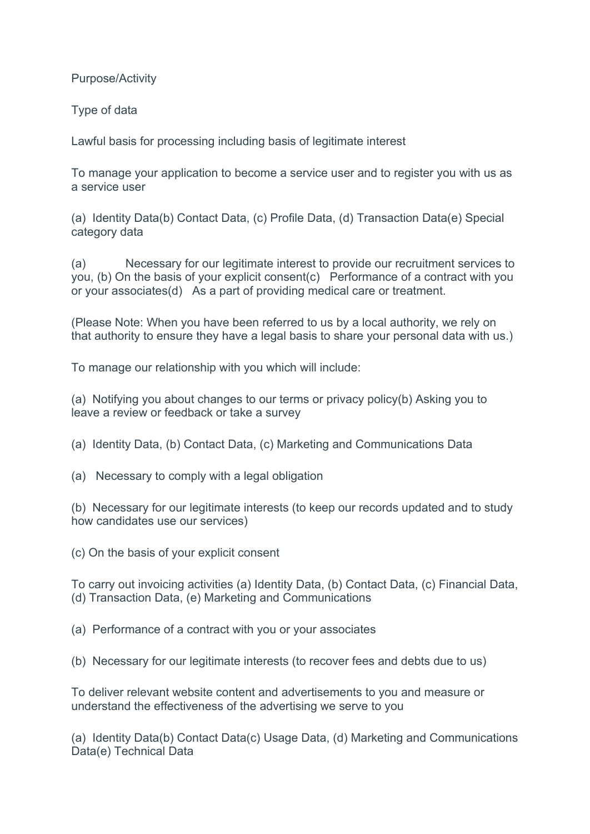Purpose/Activity

Type of data

Lawful basis for processing including basis of legitimate interest

To manage your application to become a service user and to register you with us as a service user

(a) Identity Data(b) Contact Data, (c) Profile Data, (d) Transaction Data(e) Special category data

(a) Necessary for our legitimate interest to provide our recruitment services to you, (b) On the basis of your explicit consent(c) Performance of a contract with you or your associates(d) As a part of providing medical care or treatment.

(Please Note: When you have been referred to us by a local authority, we rely on that authority to ensure they have a legal basis to share your personal data with us.)

To manage our relationship with you which will include:

(a) Notifying you about changes to our terms or privacy policy(b) Asking you to leave a review or feedback or take a survey

(a) Identity Data, (b) Contact Data, (c) Marketing and Communications Data

(a) Necessary to comply with a legal obligation

(b) Necessary for our legitimate interests (to keep our records updated and to study how candidates use our services)

(c) On the basis of your explicit consent

To carry out invoicing activities (a) Identity Data, (b) Contact Data, (c) Financial Data, (d) Transaction Data, (e) Marketing and Communications

- (a) Performance of a contract with you or your associates
- (b) Necessary for our legitimate interests (to recover fees and debts due to us)

To deliver relevant website content and advertisements to you and measure or understand the effectiveness of the advertising we serve to you

(a) Identity Data(b) Contact Data(c) Usage Data, (d) Marketing and Communications Data(e) Technical Data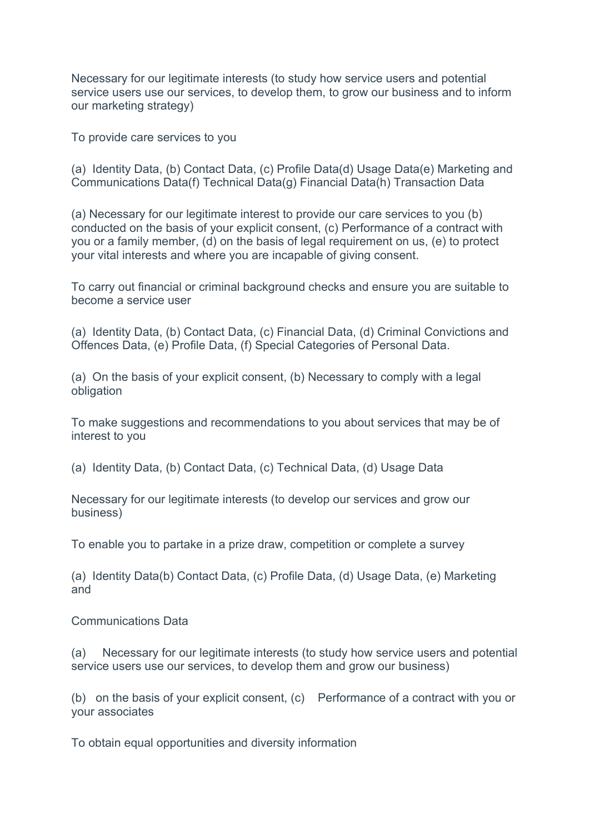Necessary for our legitimate interests (to study how service users and potential service users use our services, to develop them, to grow our business and to inform our marketing strategy)

To provide care services to you

(a) Identity Data, (b) Contact Data, (c) Profile Data(d) Usage Data(e) Marketing and Communications Data(f) Technical Data(g) Financial Data(h) Transaction Data

(a) Necessary for our legitimate interest to provide our care services to you (b) conducted on the basis of your explicit consent, (c) Performance of a contract with you or a family member, (d) on the basis of legal requirement on us, (e) to protect your vital interests and where you are incapable of giving consent.

To carry out financial or criminal background checks and ensure you are suitable to become a service user

(a) Identity Data, (b) Contact Data, (c) Financial Data, (d) Criminal Convictions and Offences Data, (e) Profile Data, (f) Special Categories of Personal Data.

(a) On the basis of your explicit consent, (b) Necessary to comply with a legal obligation

To make suggestions and recommendations to you about services that may be of interest to you

(a) Identity Data, (b) Contact Data, (c) Technical Data, (d) Usage Data

Necessary for our legitimate interests (to develop our services and grow our business)

To enable you to partake in a prize draw, competition or complete a survey

(a) Identity Data(b) Contact Data, (c) Profile Data, (d) Usage Data, (e) Marketing and

Communications Data

(a) Necessary for our legitimate interests (to study how service users and potential service users use our services, to develop them and grow our business)

(b) on the basis of your explicit consent, (c) Performance of a contract with you or your associates

To obtain equal opportunities and diversity information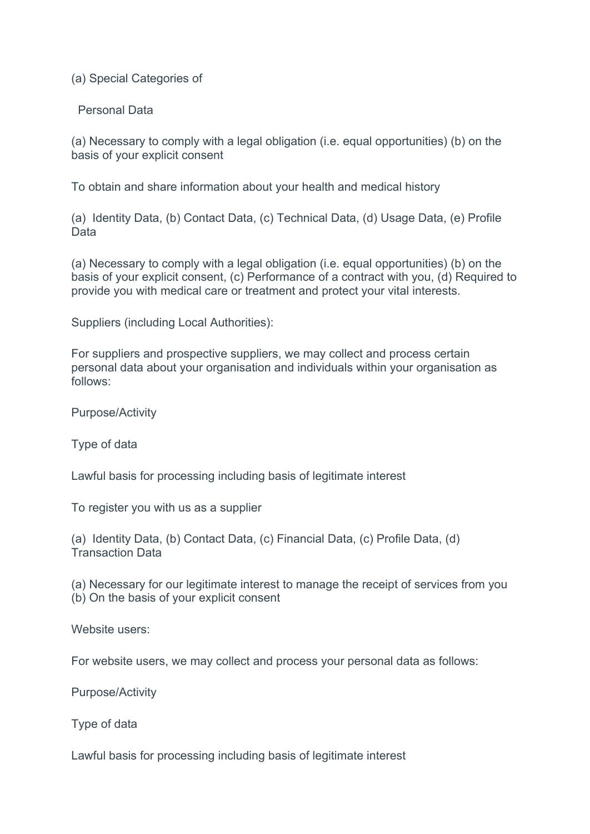(a) Special Categories of

Personal Data

(a) Necessary to comply with a legal obligation (i.e. equal opportunities) (b) on the basis of your explicit consent

To obtain and share information about your health and medical history

(a) Identity Data, (b) Contact Data, (c) Technical Data, (d) Usage Data, (e) Profile Data

(a) Necessary to comply with a legal obligation (i.e. equal opportunities) (b) on the basis of your explicit consent, (c) Performance of a contract with you, (d) Required to provide you with medical care or treatment and protect your vital interests.

Suppliers (including Local Authorities):

For suppliers and prospective suppliers, we may collect and process certain personal data about your organisation and individuals within your organisation as follows:

Purpose/Activity

Type of data

Lawful basis for processing including basis of legitimate interest

To register you with us as a supplier

(a) Identity Data, (b) Contact Data, (c) Financial Data, (c) Profile Data, (d) Transaction Data

(a) Necessary for our legitimate interest to manage the receipt of services from you (b) On the basis of your explicit consent

Website users:

For website users, we may collect and process your personal data as follows:

Purpose/Activity

Type of data

Lawful basis for processing including basis of legitimate interest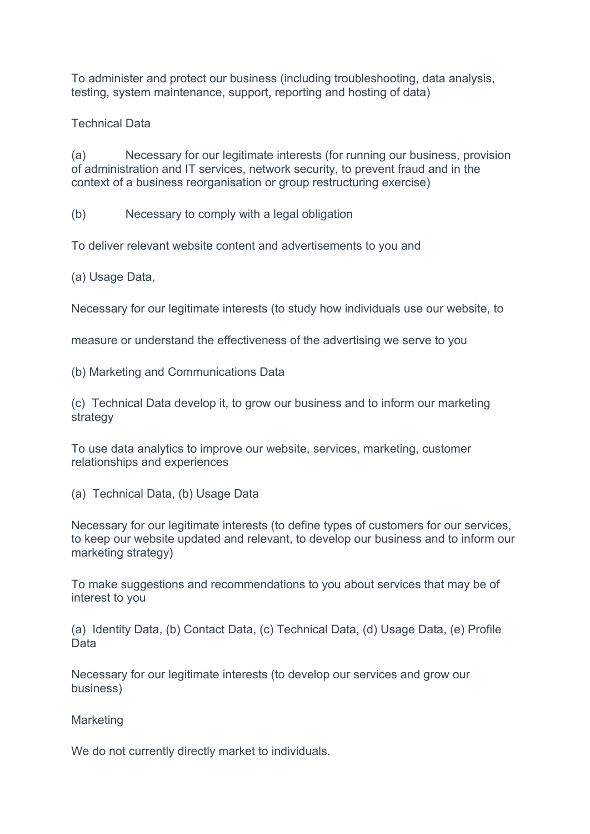To administer and protect our business (including troubleshooting, data analysis, testing, system maintenance, support, reporting and hosting of data)

# Technical Data

(a) Necessary for our legitimate interests (for running our business, provision of administration and IT services, network security, to prevent fraud and in the context of a business reorganisation or group restructuring exercise)

(b) Necessary to comply with a legal obligation

To deliver relevant website content and advertisements to you and

(a) Usage Data,

Necessary for our legitimate interests (to study how individuals use our website, to

measure or understand the effectiveness of the advertising we serve to you

(b) Marketing and Communications Data

(c) Technical Data develop it, to grow our business and to inform our marketing strategy

To use data analytics to improve our website, services, marketing, customer relationships and experiences

(a) Technical Data, (b) Usage Data

Necessary for our legitimate interests (to define types of customers for our services, to keep our website updated and relevant, to develop our business and to inform our marketing strategy)

To make suggestions and recommendations to you about services that may be of interest to you

(a) Identity Data, (b) Contact Data, (c) Technical Data, (d) Usage Data, (e) Profile Data

Necessary for our legitimate interests (to develop our services and grow our business)

**Marketing** 

We do not currently directly market to individuals.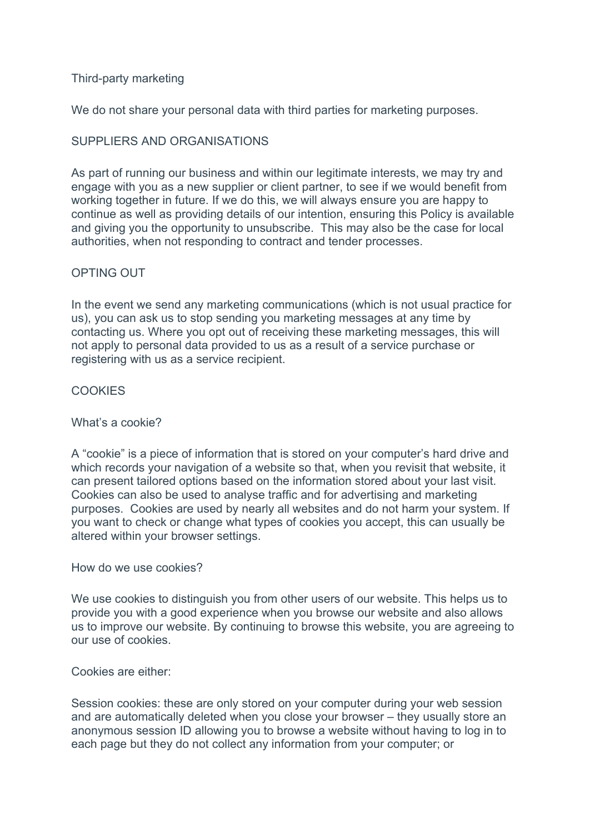# Third-party marketing

We do not share your personal data with third parties for marketing purposes.

# SUPPLIERS AND ORGANISATIONS

As part of running our business and within our legitimate interests, we may try and engage with you as a new supplier or client partner, to see if we would benefit from working together in future. If we do this, we will always ensure you are happy to continue as well as providing details of our intention, ensuring this Policy is available and giving you the opportunity to unsubscribe. This may also be the case for local authorities, when not responding to contract and tender processes.

# OPTING OUT

In the event we send any marketing communications (which is not usual practice for us), you can ask us to stop sending you marketing messages at any time by contacting us. Where you opt out of receiving these marketing messages, this will not apply to personal data provided to us as a result of a service purchase or registering with us as a service recipient.

# **COOKIES**

#### What's a cookie?

A "cookie" is a piece of information that is stored on your computer's hard drive and which records your navigation of a website so that, when you revisit that website, it can present tailored options based on the information stored about your last visit. Cookies can also be used to analyse traffic and for advertising and marketing purposes. Cookies are used by nearly all websites and do not harm your system. If you want to check or change what types of cookies you accept, this can usually be altered within your browser settings.

#### How do we use cookies?

We use cookies to distinguish you from other users of our website. This helps us to provide you with a good experience when you browse our website and also allows us to improve our website. By continuing to browse this website, you are agreeing to our use of cookies.

#### Cookies are either:

Session cookies: these are only stored on your computer during your web session and are automatically deleted when you close your browser – they usually store an anonymous session ID allowing you to browse a website without having to log in to each page but they do not collect any information from your computer; or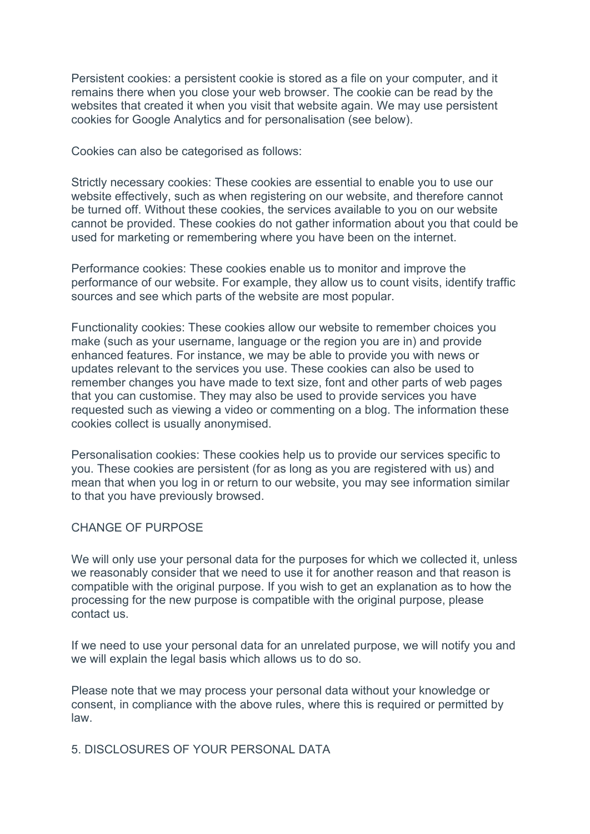Persistent cookies: a persistent cookie is stored as a file on your computer, and it remains there when you close your web browser. The cookie can be read by the websites that created it when you visit that website again. We may use persistent cookies for Google Analytics and for personalisation (see below).

Cookies can also be categorised as follows:

Strictly necessary cookies: These cookies are essential to enable you to use our website effectively, such as when registering on our website, and therefore cannot be turned off. Without these cookies, the services available to you on our website cannot be provided. These cookies do not gather information about you that could be used for marketing or remembering where you have been on the internet.

Performance cookies: These cookies enable us to monitor and improve the performance of our website. For example, they allow us to count visits, identify traffic sources and see which parts of the website are most popular.

Functionality cookies: These cookies allow our website to remember choices you make (such as your username, language or the region you are in) and provide enhanced features. For instance, we may be able to provide you with news or updates relevant to the services you use. These cookies can also be used to remember changes you have made to text size, font and other parts of web pages that you can customise. They may also be used to provide services you have requested such as viewing a video or commenting on a blog. The information these cookies collect is usually anonymised.

Personalisation cookies: These cookies help us to provide our services specific to you. These cookies are persistent (for as long as you are registered with us) and mean that when you log in or return to our website, you may see information similar to that you have previously browsed.

# CHANGE OF PURPOSE

We will only use your personal data for the purposes for which we collected it, unless we reasonably consider that we need to use it for another reason and that reason is compatible with the original purpose. If you wish to get an explanation as to how the processing for the new purpose is compatible with the original purpose, please contact us.

If we need to use your personal data for an unrelated purpose, we will notify you and we will explain the legal basis which allows us to do so.

Please note that we may process your personal data without your knowledge or consent, in compliance with the above rules, where this is required or permitted by law.

# 5. DISCLOSURES OF YOUR PERSONAL DATA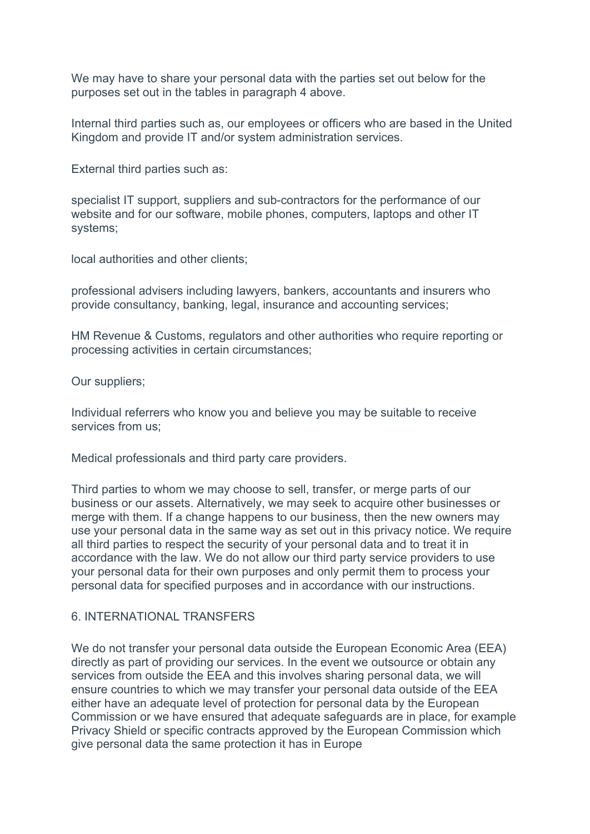We may have to share your personal data with the parties set out below for the purposes set out in the tables in paragraph 4 above.

Internal third parties such as, our employees or officers who are based in the United Kingdom and provide IT and/or system administration services.

External third parties such as:

specialist IT support, suppliers and sub-contractors for the performance of our website and for our software, mobile phones, computers, laptops and other IT systems;

local authorities and other clients;

professional advisers including lawyers, bankers, accountants and insurers who provide consultancy, banking, legal, insurance and accounting services;

HM Revenue & Customs, regulators and other authorities who require reporting or processing activities in certain circumstances;

Our suppliers;

Individual referrers who know you and believe you may be suitable to receive services from us;

Medical professionals and third party care providers.

Third parties to whom we may choose to sell, transfer, or merge parts of our business or our assets. Alternatively, we may seek to acquire other businesses or merge with them. If a change happens to our business, then the new owners may use your personal data in the same way as set out in this privacy notice. We require all third parties to respect the security of your personal data and to treat it in accordance with the law. We do not allow our third party service providers to use your personal data for their own purposes and only permit them to process your personal data for specified purposes and in accordance with our instructions.

# 6. INTERNATIONAL TRANSFERS

We do not transfer your personal data outside the European Economic Area (EEA) directly as part of providing our services. In the event we outsource or obtain any services from outside the EEA and this involves sharing personal data, we will ensure countries to which we may transfer your personal data outside of the EEA either have an adequate level of protection for personal data by the European Commission or we have ensured that adequate safeguards are in place, for example Privacy Shield or specific contracts approved by the European Commission which give personal data the same protection it has in Europe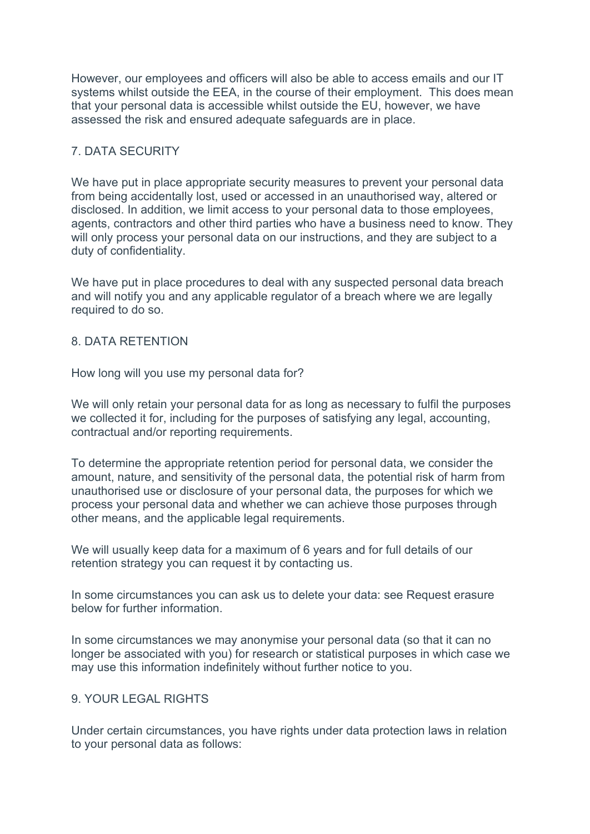However, our employees and officers will also be able to access emails and our IT systems whilst outside the EEA, in the course of their employment. This does mean that your personal data is accessible whilst outside the EU, however, we have assessed the risk and ensured adequate safeguards are in place.

# 7. DATA SECURITY

We have put in place appropriate security measures to prevent your personal data from being accidentally lost, used or accessed in an unauthorised way, altered or disclosed. In addition, we limit access to your personal data to those employees, agents, contractors and other third parties who have a business need to know. They will only process your personal data on our instructions, and they are subject to a duty of confidentiality.

We have put in place procedures to deal with any suspected personal data breach and will notify you and any applicable regulator of a breach where we are legally required to do so.

# 8. DATA RETENTION

How long will you use my personal data for?

We will only retain your personal data for as long as necessary to fulfil the purposes we collected it for, including for the purposes of satisfying any legal, accounting, contractual and/or reporting requirements.

To determine the appropriate retention period for personal data, we consider the amount, nature, and sensitivity of the personal data, the potential risk of harm from unauthorised use or disclosure of your personal data, the purposes for which we process your personal data and whether we can achieve those purposes through other means, and the applicable legal requirements.

We will usually keep data for a maximum of 6 years and for full details of our retention strategy you can request it by contacting us.

In some circumstances you can ask us to delete your data: see Request erasure below for further information.

In some circumstances we may anonymise your personal data (so that it can no longer be associated with you) for research or statistical purposes in which case we may use this information indefinitely without further notice to you.

# 9. YOUR LEGAL RIGHTS

Under certain circumstances, you have rights under data protection laws in relation to your personal data as follows: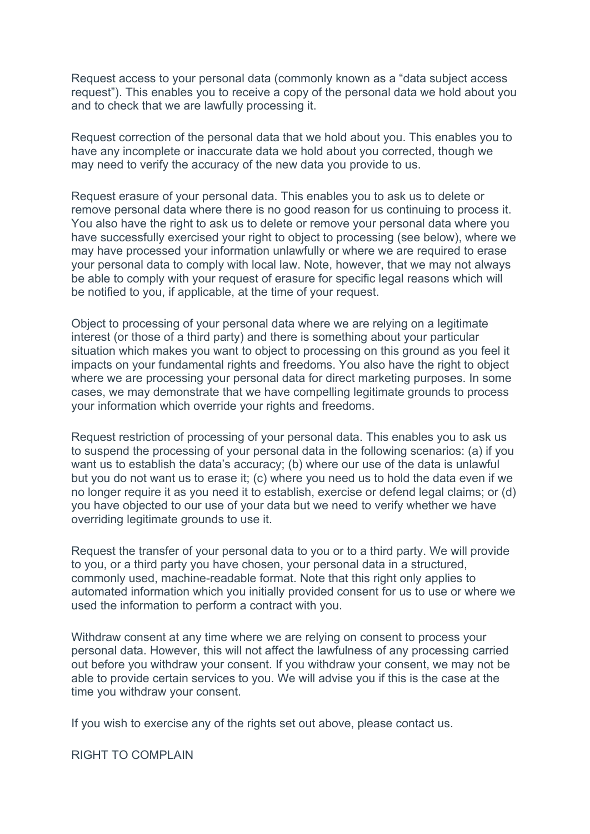Request access to your personal data (commonly known as a "data subject access request"). This enables you to receive a copy of the personal data we hold about you and to check that we are lawfully processing it.

Request correction of the personal data that we hold about you. This enables you to have any incomplete or inaccurate data we hold about you corrected, though we may need to verify the accuracy of the new data you provide to us.

Request erasure of your personal data. This enables you to ask us to delete or remove personal data where there is no good reason for us continuing to process it. You also have the right to ask us to delete or remove your personal data where you have successfully exercised your right to object to processing (see below), where we may have processed your information unlawfully or where we are required to erase your personal data to comply with local law. Note, however, that we may not always be able to comply with your request of erasure for specific legal reasons which will be notified to you, if applicable, at the time of your request.

Object to processing of your personal data where we are relying on a legitimate interest (or those of a third party) and there is something about your particular situation which makes you want to object to processing on this ground as you feel it impacts on your fundamental rights and freedoms. You also have the right to object where we are processing your personal data for direct marketing purposes. In some cases, we may demonstrate that we have compelling legitimate grounds to process your information which override your rights and freedoms.

Request restriction of processing of your personal data. This enables you to ask us to suspend the processing of your personal data in the following scenarios: (a) if you want us to establish the data's accuracy; (b) where our use of the data is unlawful but you do not want us to erase it; (c) where you need us to hold the data even if we no longer require it as you need it to establish, exercise or defend legal claims; or (d) you have objected to our use of your data but we need to verify whether we have overriding legitimate grounds to use it.

Request the transfer of your personal data to you or to a third party. We will provide to you, or a third party you have chosen, your personal data in a structured, commonly used, machine-readable format. Note that this right only applies to automated information which you initially provided consent for us to use or where we used the information to perform a contract with you.

Withdraw consent at any time where we are relying on consent to process your personal data. However, this will not affect the lawfulness of any processing carried out before you withdraw your consent. If you withdraw your consent, we may not be able to provide certain services to you. We will advise you if this is the case at the time you withdraw your consent.

If you wish to exercise any of the rights set out above, please contact us.

RIGHT TO COMPLAIN